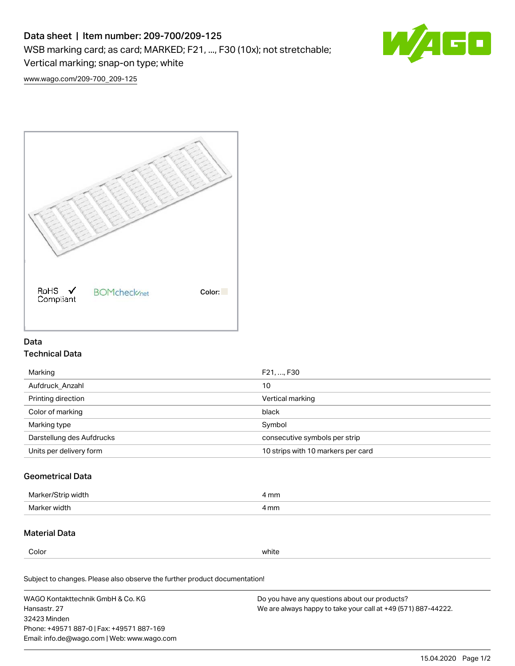# Data sheet | Item number: 209-700/209-125

WSB marking card; as card; MARKED; F21, ..., F30 (10x); not stretchable;

Vertical marking; snap-on type; white

[www.wago.com/209-700\\_209-125](http://www.wago.com/209-700_209-125)



## Data Technical Data

| Marking                   | F21, , F30                         |  |
|---------------------------|------------------------------------|--|
| Aufdruck Anzahl           | 10                                 |  |
| Printing direction        | Vertical marking                   |  |
| Color of marking          | black                              |  |
| Marking type              | Symbol                             |  |
| Darstellung des Aufdrucks | consecutive symbols per strip      |  |
| Units per delivery form   | 10 strips with 10 markers per card |  |

## Geometrical Data

| Marker/<br>width<br>ור ש | mm<br>. |
|--------------------------|---------|
| Marker width             | 4 mm    |

## Material Data

Color white

Subject to changes. Please also observe the further product documentation!

WAGO Kontakttechnik GmbH & Co. KG Hansastr. 27 32423 Minden Phone: +49571 887-0 | Fax: +49571 887-169 Email: info.de@wago.com | Web: www.wago.com Do you have any questions about our products? We are always happy to take your call at +49 (571) 887-44222.